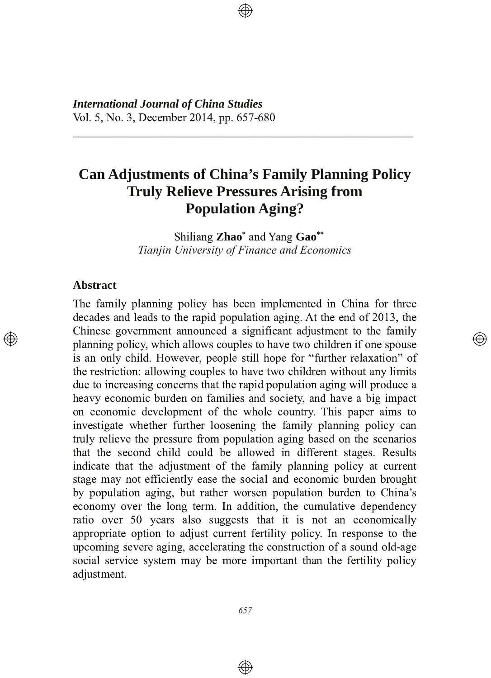*International Journal of China Studies* Vol. 5, No. 3, December 2014, pp. 657-680

# **Can Adjustments of China's Family Planning Policy Truly Relieve Pressures Arising from Population Aging?**

0000000000000000000000000000000000000000000000000000000000

Shiliang Zhao<sup>\*</sup> and Yang Gao<sup>\*\*</sup> *Tianjin University of Finance and Economics*

</u>

#### **Abstract**

The family planning policy has been implemented in China for three decades and leads to the rapid population aging. At the end of 2013, the Chinese government announced a significant adjustment to the family planning policy, which allows couples to have two children if one spouse is an only child. However, people still hope for "further relaxation" of the restriction: allowing couples to have two children without any limits due to increasing concerns that the rapid population aging will produce a heavy economic burden on families and society, and have a big impact on economic development of the whole country. This paper aims to investigate whether further loosening the family planning policy can truly relieve the pressure from population aging based on the scenarios that the second child could be allowed in different stages. Results indicate that the adjustment of the family planning policy at current stage may not efficiently ease the social and economic burden brought by population aging, but rather worsen population burden to China's economy over the long term. In addition, the cumulative dependency ratio over 50 years also suggests that it is not an economically appropriate option to adjust current fertility policy. In response to the upcoming severe aging, accelerating the construction of a sound old-age social service system may be more important than the fertility policy adjustment.

 $\bigoplus$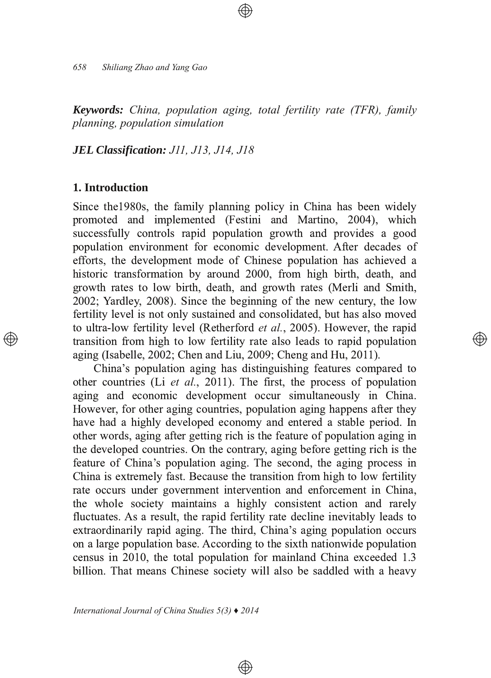*658 Shiliang Zhao and Yang Gao*

*Keywords: China, population aging, total fertility rate (TFR), family planning, population simulation*

*JEL Classification: J11, J13, J14, J18*

# **1. Introduction**

Since the 1980s, the family planning policy in China has been widely promoted and implemented (Festini and Martino, 2004), which successfully controls rapid population growth and provides a good population environment for economic development. After decades of efforts, the development mode of Chinese population has achieved a historic transformation by around 2000, from high birth, death, and growth rates to low birth, death, and growth rates (Merli and Smith, 2002; Yardley, 2008). Since the beginning of the new century, the low fertility level is not only sustained and consolidated, but has also moved to ultra-low fertility level (Retherford *et al.*, 2005). However, the rapid transition from high to low fertility rate also leads to rapid population aging (Isabelle, 2002; Chen and Liu, 2009; Cheng and Hu, 2011).

্⊕

China's population aging has distinguishing features compared to other countries (Li *et al.*, 2011). The first, the process of population aging and economic development occur simultaneously in China. However, for other aging countries, population aging happens after they have had a highly developed economy and entered a stable period. In other words, aging after getting rich is the feature of population aging in the developed countries. On the contrary, aging before getting rich is the feature of China's population aging. The second, the aging process in China is extremely fast. Because the transition from high to low fertility rate occurs under government intervention and enforcement in China, the whole society maintains a highly consistent action and rarely fluctuates. As a result, the rapid fertility rate decline inevitably leads to extraordinarily rapid aging. The third, China's aging population occurs on a large population base. According to the sixth nationwide population census in 2010, the total population for mainland China exceeded 1.3 billion. That means Chinese society will also be saddled with a heavy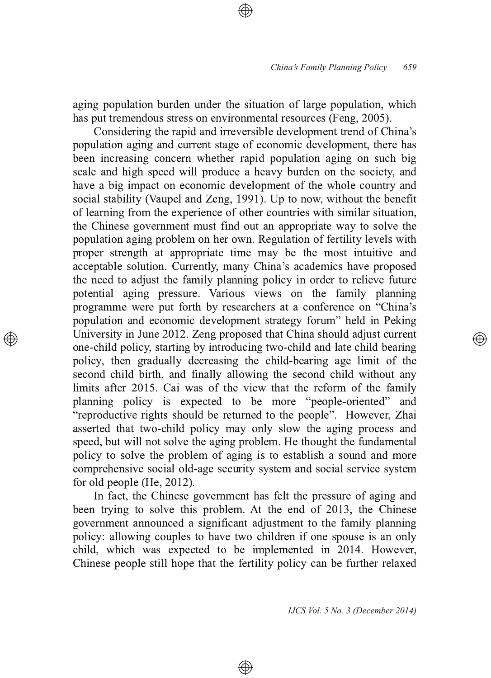aging population burden under the situation of large population, which has put tremendous stress on environmental resources (Feng, 2005).

Considering the rapid and irreversible development trend of China's population aging and current stage of economic development, there has been increasing concern whether rapid population aging on such big scale and high speed will produce a heavy burden on the society, and have a big impact on economic development of the whole country and social stability (Vaupel and Zeng, 1991). Up to now, without the benefit of learning from the experience of other countries with similar situation, the Chinese government must find out an appropriate way to solve the population aging problem on her own. Regulation of fertility levels with proper strength at appropriate time may be the most intuitive and acceptable solution. Currently, many China's academics have proposed the need to adjust the family planning policy in order to relieve future potential aging pressure. Various views on the family planning programme were put forth by researchers at a conference on "China's population and economic development strategy forum" held in Peking University in June 2012. Zeng proposed that China should adjust current one-child policy, starting by introducing two-child and late child bearing policy, then gradually decreasing the child-bearing age limit of the second child birth, and finally allowing the second child without any limits after 2015. Cai was of the view that the reform of the family planning policy is expected to be more "people-oriented" and "reproductive rights should be returned to the people". However, Zhai asserted that two-child policy may only slow the aging process and speed, but will not solve the aging problem. He thought the fundamental policy to solve the problem of aging is to establish a sound and more comprehensive social old-age security system and social service system for old people (He,  $2012$ ).

In fact, the Chinese government has felt the pressure of aging and been trying to solve this problem. At the end of 2013, the Chinese government announced a significant adjustment to the family planning policy: allowing couples to have two children if one spouse is an only child, which was expected to be implemented in 2014. However, Chinese people still hope that the fertility policy can be further relaxed

⊕

*IJCS Vol. 5 No. 3 (December 2014)*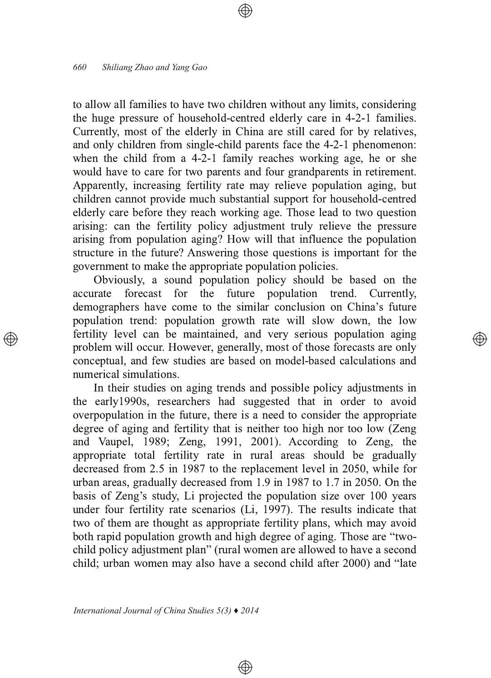to allow all families to have two children without any limits, considering the huge pressure of household-centred elderly care in 4-2-1 families. Currently, most of the elderly in China are still cared for by relatives, and only children from single-child parents face the 4-2-1 phenomenon: when the child from a 4-2-1 family reaches working age, he or she would have to care for two parents and four grandparents in retirement. Apparently, increasing fertility rate may relieve population aging, but children cannot provide much substantial support for household-centred elderly care before they reach working age. Those lead to two question arising: can the fertility policy adjustment truly relieve the pressure arising from population aging? How will that influence the population structure in the future? Answering those questions is important for the government to make the appropriate population policies.

Obviously, a sound population policy should be based on the accurate forecast for the future population trend. Currently, future population trend. demographers have come to the similar conclusion on China's future population trend: population growth rate will slow down, the low fertility level can be maintained, and very serious population aging problem will occur. However, generally, most of those forecasts are only conceptual, and few studies are based on model-based calculations and numerical simulations.

In their studies on aging trends and possible policy adjustments in the early 1990s, researchers had suggested that in order to avoid overpopulation in the future, there is a need to consider the appropriate degree of aging and fertility that is neither too high nor too low (Zeng and Vaupel,  $1989$ ; Zeng,  $1991$ ,  $2001$ ). According to Zeng, the appropriate total fertility rate in rural areas should be gradually decreased from 2.5 in 1987 to the replacement level in 2050, while for urban areas, gradually decreased from 1.9 in 1987 to 1.7 in 2050. On the basis of Zeng's study. Li projected the population size over 100 years under four fertility rate scenarios (Li, 1997). The results indicate that two of them are thought as appropriate fertility plans, which may avoid both rapid population growth and high degree of aging. Those are "twochild policy adjustment plan" (rural women are allowed to have a second child; urban women may also have a second child after 2000) and "late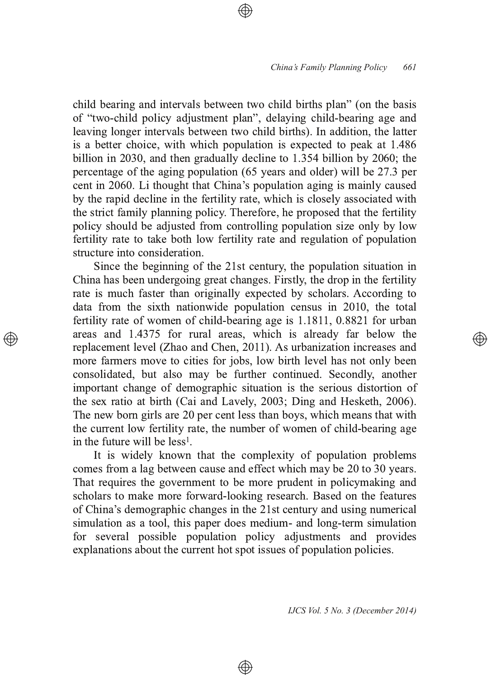child bearing and intervals between two child births plan" (on the basis of "two-child policy adjustment plan", delaying child-bearing age and leaving longer intervals between two child births). In addition, the latter is a better choice, with which population is expected to peak at 1.486 billion in 2030, and then gradually decline to  $1.354$  billion by  $2060$ ; the percentage of the aging population (65 years and older) will be 27.3 per cent in 2060. Li thought that China's population aging is mainly caused by the rapid decline in the fertility rate, which is closely associated with the strict family planning policy. Therefore, he proposed that the fertility policy should be adjusted from controlling population size only by low fertility rate to take both low fertility rate and regulation of population structure into consideration.

Since the beginning of the 21st century, the population situation in China has been undergoing great changes. Firstly, the drop in the fertility rate is much faster than originally expected by scholars. According to data from the sixth nationwide population census in  $2010$ , the total fertility rate of women of child-bearing age is  $1.1811$ ,  $0.8821$  for urban areas and 1.4375 for rural areas, which is already far below the replacement level (Zhao and Chen, 2011). As urbanization increases and more farmers move to cities for jobs, low birth level has not only been consolidated, but also may be further continued. Secondly, another important change of demographic situation is the serious distortion of the sex ratio at birth (Cai and Lavely, 2003; Ding and Hesketh, 2006). The new born girls are 20 per cent less than boys, which means that with the current low fertility rate, the number of women of child-bearing age in the future will be  $less<sup>1</sup>$ .

It is widely known that the complexity of population problems comes from a lag between cause and effect which may be 20 to 30 years. That requires the government to be more prudent in policymaking and scholars to make more forward-looking research. Based on the features of China's demographic changes in the 21st century and using numerical simulation as a tool, this paper does medium- and long-term simulation for several possible population policy adjustments and provides explanations about the current hot spot issues of population policies.

⊕

*IJCS Vol. 5 No. 3 (December 2014)*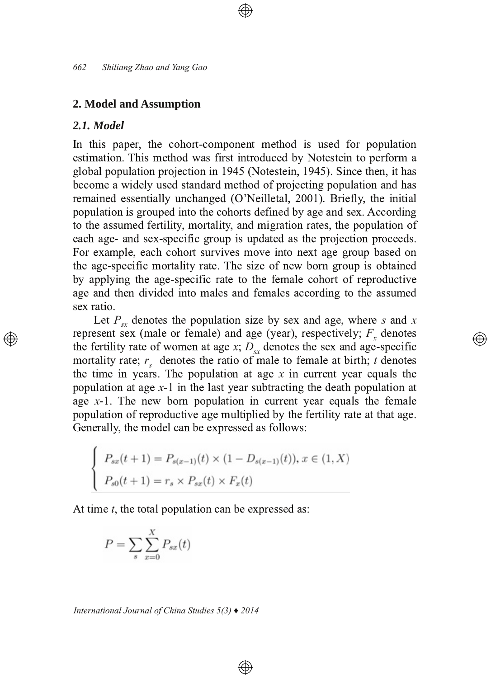#### **2. Model and Assumption**

# *2.1. Model*

In this paper, the cohort-component method is used for population estimation. This method was first introduced by Notestein to perform a global population projection in 1945 (Notestein, 1945). Since then, it has become a widely used standard method of projecting population and has remained essentially unchanged (O'Neilletal, 2001). Briefly, the initial population is grouped into the cohorts defined by age and sex. According to the assumed fertility, mortality, and migration rates, the population of each age- and sex-specific group is updated as the projection proceeds. For example, each cohort survives move into next age group based on the age-specific mortality rate. The size of new born group is obtained by applying the age-specific rate to the female cohort of reproductive age and then divided into males and females according to the assumed sex ratio.

Let  $P_{sx}$  denotes the population size by sex and age, where s and x represent sex (male or female) and age (year), respectively;  $F_x$  denotes the fertility rate of women at age  $x$ ;  $D_{sx}$  denotes the sex and age-specific mortality rate;  $r_s$  denotes the ratio of male to female at birth; t denotes the time in years. The population at age  $x$  in current year equals the population at age x-1 in the last year subtracting the death population at age  $x-1$ . The new born population in current year equals the female population of reproductive age multiplied by the fertility rate at that age. Generally, the model can be expressed as follows:

⊕

$$
\begin{cases}\nP_{sx}(t+1) = P_{s(x-1)}(t) \times (1 - D_{s(x-1)}(t)), \, x \in (1, X) \\
P_{s0}(t+1) = r_s \times P_{sx}(t) \times F_x(t)\n\end{cases}
$$

At time  $t$ , the total population can be expressed as:

$$
P = \sum_{s} \sum_{x=0}^{X} P_{sx}(t)
$$

*International Journal of China Studies 5(3) ♦ 2014*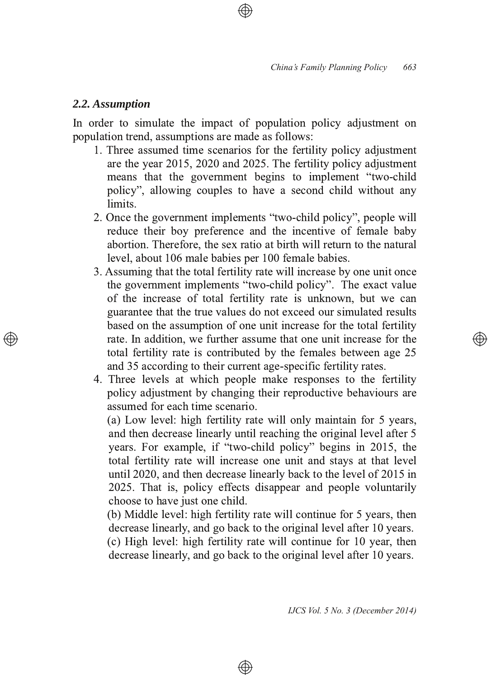# *2.2. Assumption*

In order to simulate the impact of population policy adjustment on population trend, assumptions are made as follows:

- 1. Three assumed time scenarios for the fertility policy adjustment are the year  $2015$ ,  $2020$  and  $2025$ . The fertility policy adjustment means that the government begins to implement "two-child" policy", allowing couples to have a second child without any limits.
- 2. Once the government implements "two-child policy", people will reduce their boy preference and the incentive of female baby abortion. Therefore, the sex ratio at birth will return to the natural level, about 106 male babies per 100 female babies.
- 3. Assuming that the total fertility rate will increase by one unit once the government implements "two-child policy". The exact value of the increase of total fertility rate is unknown, but we can guarantee that the true values do not exceed our simulated results based on the assumption of one unit increase for the total fertility rate. In addition, we further assume that one unit increase for the total fertility rate is contributed by the females between age 25 and 35 according to their current age-specific fertility rates.
- 4. Three levels at which people make responses to the fertility policy adjustment by changing their reproductive behaviours are assumed for each time scenario.

(a) Low level: high fertility rate will only maintain for 5 years, and then decrease linearly until reaching the original level after 5 years. For example, if "two-child policy" begins in 2015, the total fertility rate will increase one unit and stays at that level until 2020, and then decrease linearly back to the level of  $2015$  in 2025. That is, policy effects disappear and people voluntarily choose to have just one child.

(b) Middle level: high fertility rate will continue for 5 years, then decrease linearly, and go back to the original level after 10 years.

 $\alpha$ ) High level: high fertility rate will continue for 10 year, then decrease linearly, and go back to the original level after 10 years.

⊕

Ð)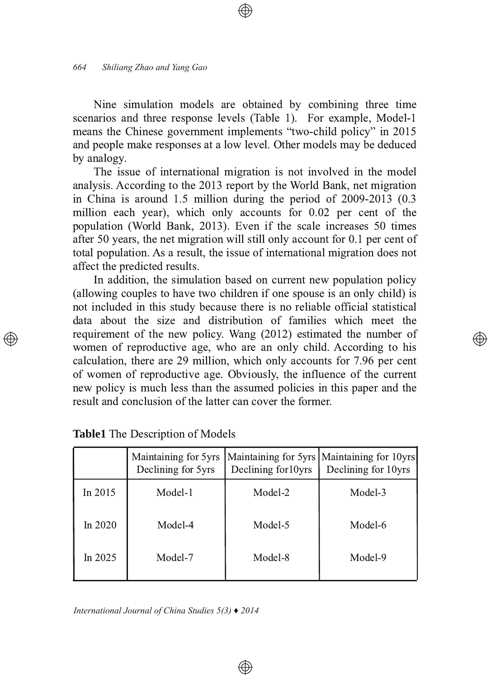Nine simulation models are obtained by combining three time scenarios and three response levels (Table 1). For example, Model-1 means the Chinese government implements "two-child policy" in 2015 and people make responses at a low level. Other models may be deduced by analogy.

The issue of international migration is not involved in the model analysis. According to the 2013 report by the World Bank, net migration in China is around  $1.5$  million during the period of  $2009-2013$  (0.3 million each year), which only accounts for 0.02 per cent of the population (World Bank, 2013). Even if the scale increases 50 times after 50 years, the net migration will still only account for  $0.1$  per cent of total population. As a result, the issue of international migration does not affect the predicted results.

In addition, the simulation based on current new population policy (allowing couples to have two children if one spouse is an only child) is not included in this study because there is no reliable official statistical data about the size and distribution of families which meet the requirement of the new policy. Wang  $(2012)$  estimated the number of women of reproductive age, who are an only child. According to his calculation, there are 29 million, which only accounts for 7.96 per cent of women of reproductive age. Obviously, the influence of the current new policy is much less than the assumed policies in this paper and the result and conclusion of the latter can cover the former.

|           | Maintaining for 5yrs<br>Declining for 5yrs | Declining for 10yrs | Maintaining for 5yrs   Maintaining for 10yrs<br>Declining for 10yrs |
|-----------|--------------------------------------------|---------------------|---------------------------------------------------------------------|
| In $2015$ | Model-1                                    | Model-2             | Model-3                                                             |
| In $2020$ | Model-4                                    | Model-5             | Model-6                                                             |
| In $2025$ | Model-7                                    | Model-8             | Model-9                                                             |

⊕

*International Journal of China Studies 5(3) ♦ 2014*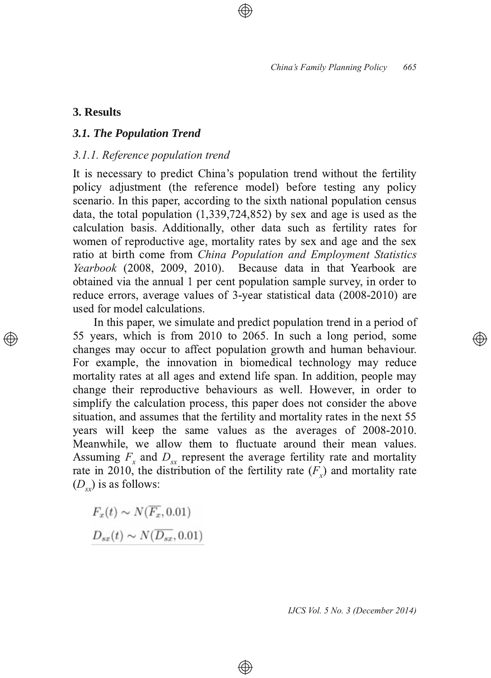# **3. Results**

 $\oplus$ 

# *3.1. The Population Trend*

# *3.1.1. Reference population trend*

It is necessary to predict China's population trend without the fertility policy adjustment (the reference model) before testing any policy scenario. In this paper, according to the sixth national population census data, the total population  $(1,339,724,852)$  by sex and age is used as the calculation basis. Additionally, other data such as fertility rates for women of reproductive age, mortality rates by sex and age and the sex ratio at birth come from *China Population and Employment Statistics Yearbook* (2008, 2009, 2010). Because data in that Yearbook are Because data in that Yearbook are obtained via the annual 1 per cent population sample survey, in order to reduce errors, average values of 3-year statistical data (2008-2010) are used for model calculations.

In this paper, we simulate and predict population trend in a period of 55 years, which is from  $2010$  to  $2065$ . In such a long period, some changes may occur to affect population growth and human behaviour. For example, the innovation in biomedical technology may reduce mortality rates at all ages and extend life span. In addition, people may change their reproductive behaviours as well. However, in order to simplify the calculation process, this paper does not consider the above situation, and assumes that the fertility and mortality rates in the next 55 years will keep the same values as the averages of 2008-2010. Meanwhile, we allow them to fluctuate around their mean values. Assuming  $F_x$  and  $D_{sx}$  represent the average fertility rate and mortality rate in 2010, the distribution of the fertility rate  $(F_x)$  and mortality rate  $(D_{sx})$  is as follows:

 $\bigoplus$ 

 $F_r(t) \sim N(\overline{F_r}, 0.01)$  $D_{sx}(t) \sim N(\overline{D_{sx}}, 0.01)$ 

*IJCS Vol. 5 No. 3 (December 2014)*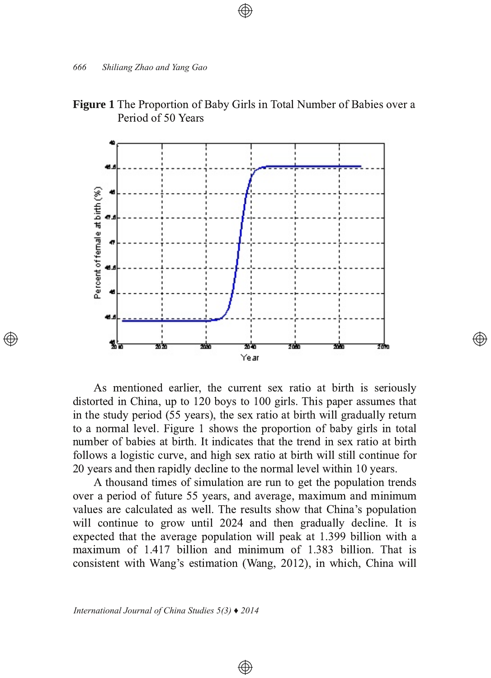



As mentioned earlier, the current sex ratio at birth is seriously distorted in China, up to 120 boys to 100 girls. This paper assumes that in the study period (55 years), the sex ratio at birth will gradually return to a normal level. Figure 1 shows the proportion of baby girls in total number of babies at birth. It indicates that the trend in sex ratio at birth follows a logistic curve, and high sex ratio at birth will still continue for 20 years and then rapidly decline to the normal level within 10 years.

</u>

A thousand times of simulation are run to get the population trends over a period of future 55 years, and average, maximum and minimum values are calculated as well. The results show that China's population will continue to grow until 2024 and then gradually decline. It is expected that the average population will peak at 1.399 billion with a  $maximum$  of  $1.417$  billion and minimum of  $1.383$  billion. That is consistent with Wang's estimation (Wang, 2012), in which, China will

 $\bigoplus$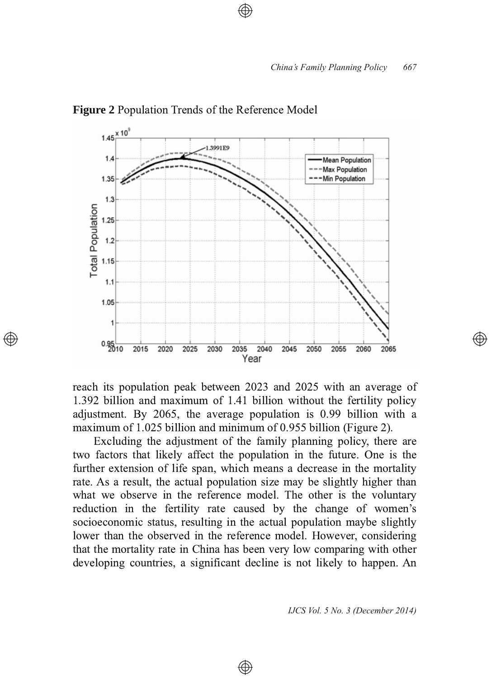

**Figure 2** Population Trends of the Reference Model

reach its population peak between 2023 and 2025 with an average of 1.392 billion and maximum of 1.41 billion without the fertility policy adjustment. By  $2065$ , the average population is 0.99 billion with a maximum of  $1.025$  billion and minimum of 0.955 billion (Figure 2).

Excluding the adjustment of the family planning policy, there are two factors that likely affect the population in the future. One is the further extension of life span, which means a decrease in the mortality rate. As a result, the actual population size may be slightly higher than what we observe in the reference model. The other is the voluntary reduction in the fertility rate caused by the change of women's socioeconomic status, resulting in the actual population maybe slightly lower than the observed in the reference model. However, considering that the mortality rate in China has been very low comparing with other developing countries, a significant decline is not likely to happen. An

⊕

*IJCS Vol. 5 No. 3 (December 2014)*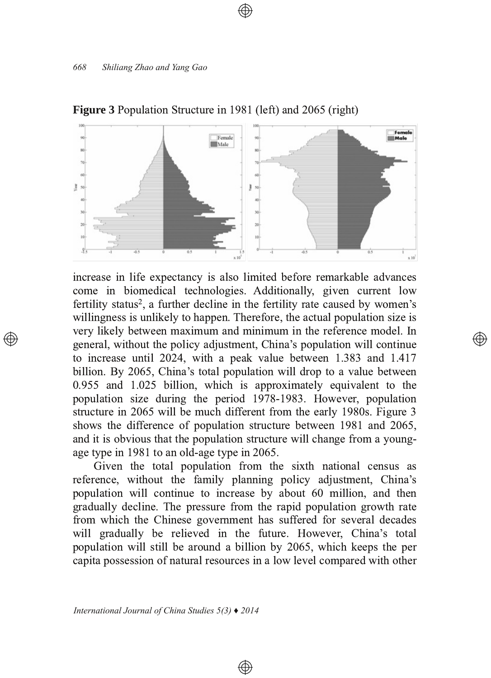

#### **Figure 3** Population Structure in 1981 (left) and 2065 (right)

increase in life expectancy is also limited before remarkable advances come in biomedical technologies. Additionally, given current low fertility status<sup>2</sup>, a further decline in the fertility rate caused by women's willingness is unlikely to happen. Therefore, the actual population size is very likely between maximum and minimum in the reference model. In general, without the policy adjustment, China's population will continue to increase until 2024, with a peak value between  $1.383$  and  $1.417$ billion. By 2065, China's total population will drop to a value between  $0.955$  and  $1.025$  billion, which is approximately equivalent to the population size during the period 1978-1983. However, population structure in 2065 will be much different from the early 1980s. Figure 3 shows the difference of population structure between 1981 and 2065, and it is obvious that the population structure will change from a youngage type in 1981 to an old-age type in 2065.

</u>

Given the total population from the sixth national census as reference, without the family planning policy adjustment, China's population will continue to increase by about 60 million, and then gradually decline. The pressure from the rapid population growth rate from which the Chinese government has suffered for several decades will gradually be relieved in the future. However, China's total population will still be around a billion by 2065, which keeps the per capita possession of natural resources in a low level compared with other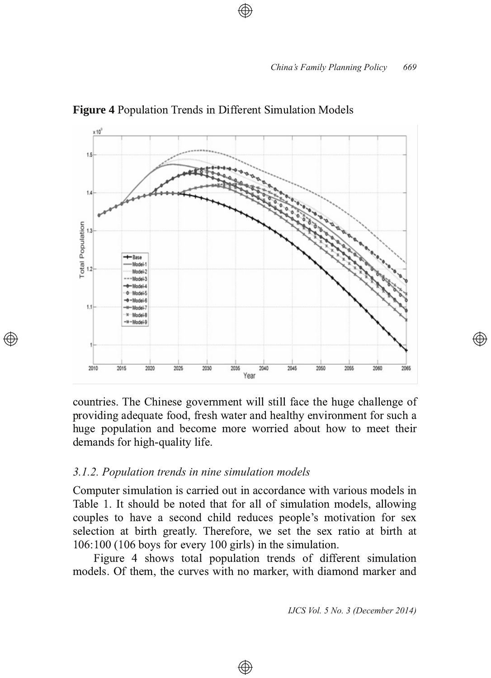

**Figure 4** Population Trends in Different Simulation Models

countries. The Chinese government will still face the huge challenge of providing adequate food, fresh water and healthy environment for such a huge population and become more worried about how to meet their demands for high-quality life.

#### *3.1.2. Population trends in nine simulation models*

Computer simulation is carried out in accordance with various models in Table 1. It should be noted that for all of simulation models, allowing couples to have a second child reduces people's motivation for sex selection at birth greatly. Therefore, we set the sex ratio at birth at  $106:100$  (106 boys for every 100 girls) in the simulation.

Figure 4 shows total population trends of different simulation models. Of them, the curves with no marker, with diamond marker and

⊕

*IJCS Vol. 5 No. 3 (December 2014)*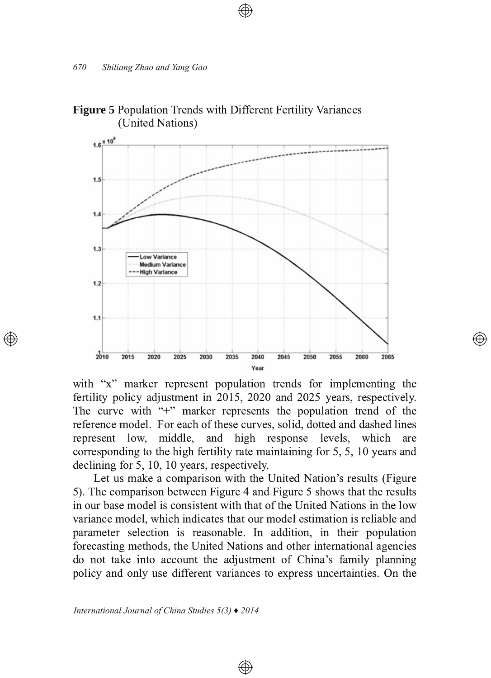

# **Figure 5** Population Trends with Different Fertility Variances (United Nations)

with "x" marker represent population trends for implementing the fertility policy adjustment in  $2015$ ,  $2020$  and  $2025$  years, respectively. The curve with "+" marker represents the population trend of the reference model. For each of these curves, solid, dotted and dashed lines represent low, middle, and high response levels, which are corresponding to the high fertility rate maintaining for  $5, 5, 10$  years and  $\alpha$  declining for 5, 10, 10 years, respectively.

</u>

Let us make a comparison with the United Nation's results (Figure 5). The comparison between Figure 4 and Figure 5 shows that the results in our base model is consistent with that of the United Nations in the low variance model, which indicates that our model estimation is reliable and parameter selection is reasonable. In addition, in their population forecasting methods, the United Nations and other international agencies do not take into account the adjustment of China's family planning policy and only use different variances to express uncertainties. On the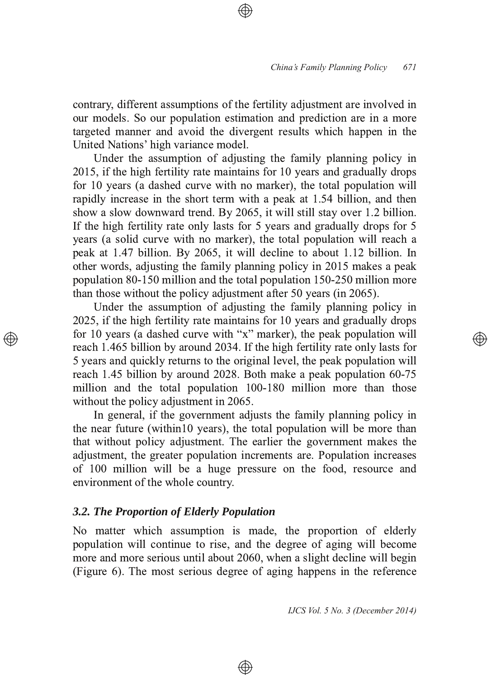contrary, different assumptions of the fertility adjustment are involved in our models. So our population estimation and prediction are in a more targeted manner and avoid the divergent results which happen in the United Nations' high variance model.

Under the assumption of adjusting the family planning policy in 2015, if the high fertility rate maintains for 10 years and gradually drops for 10 years (a dashed curve with no marker), the total population will rapidly increase in the short term with a peak at 1.54 billion, and then show a slow downward trend. By 2065, it will still stay over 1.2 billion. If the high fertility rate only lasts for 5 years and gradually drops for 5 years (a solid curve with no marker), the total population will reach a peak at 1.47 billion. By 2065, it will decline to about 1.12 billion. In other words, adjusting the family planning policy in 2015 makes a peak population 80-150 million and the total population 150-250 million more than those without the policy adjustment after 50 years (in 2065).

Under the assumption of adjusting the family planning policy in 2025, if the high fertility rate maintains for 10 years and gradually drops for 10 years (a dashed curve with "x" marker), the peak population will reach 1.465 billion by around 2034. If the high fertility rate only lasts for 5 years and quickly returns to the original level, the peak population will reach 1.45 billion by around 2028. Both make a peak population  $60-75$ million and the total population 100-180 million more than those without the policy adjustment in 2065.

In general, if the government adjusts the family planning policy in the near future (within 10 years), the total population will be more than that without policy adjustment. The earlier the government makes the adjustment, the greater population increments are. Population increases of 100 million will be a huge pressure on the food, resource and environment of the whole country.

#### *3.2. The Proportion of Elderly Population*

No matter which assumption is made, the proportion of elderly population will continue to rise, and the degree of aging will become more and more serious until about 2060, when a slight decline will begin (Figure 6). The most serious degree of aging happens in the reference

⊕

*IJCS Vol. 5 No. 3 (December 2014)*

 $\circledcirc$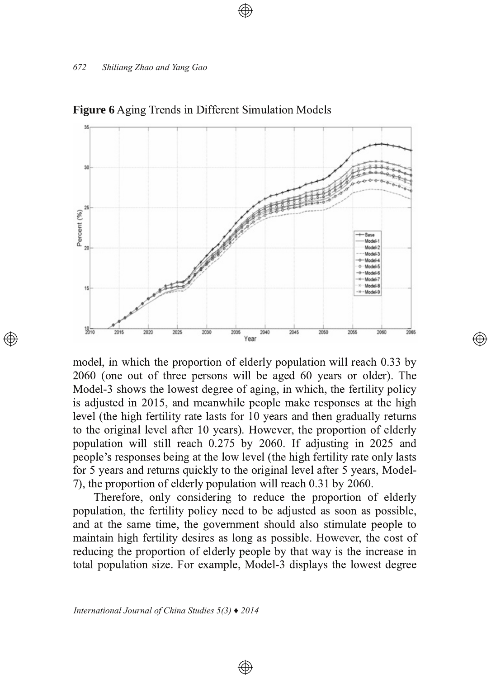

**Figure 6** Aging Trends in Different Simulation Models

model, in which the proportion of elderly population will reach 0.33 by  $2060$  (one out of three persons will be aged 60 years or older). The Model-3 shows the lowest degree of aging, in which, the fertility policy is adjusted in 2015, and meanwhile people make responses at the high level (the high fertility rate lasts for 10 years and then gradually returns to the original level after 10 years). However, the proportion of elderly population will still reach 0.275 by 2060. If adjusting in 2025 and people's responses being at the low level (the high fertility rate only lasts for 5 years and returns quickly to the original level after 5 years, Model-7), the proportion of elderly population will reach 0.31 by 2060.

Therefore, only considering to reduce the proportion of elderly population, the fertility policy need to be adjusted as soon as possible, and at the same time, the government should also stimulate people to maintain high fertility desires as long as possible. However, the cost of reducing the proportion of elderly people by that way is the increase in total population size. For example, Model-3 displays the lowest degree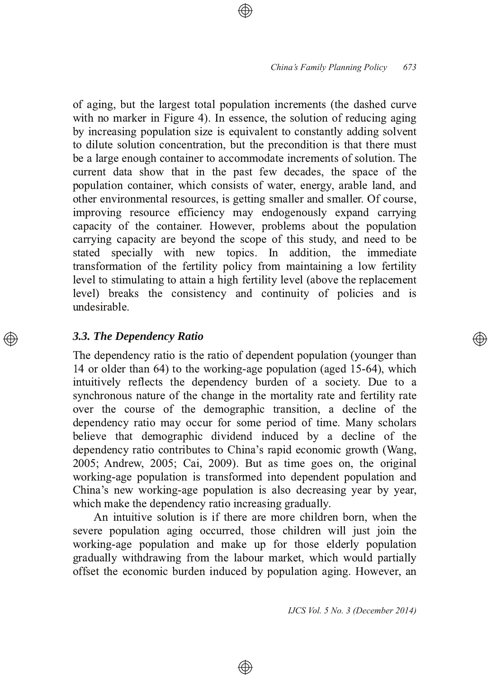of aging, but the largest total population increments (the dashed curve with no marker in Figure 4). In essence, the solution of reducing aging by increasing population size is equivalent to constantly adding solvent to dilute solution concentration, but the precondition is that there must be a large enough container to accommodate increments of solution. The current data show that in the past few decades, the space of the population container, which consists of water, energy, arable land, and other environmental resources, is getting smaller and smaller. Of course, improving resource efficiency may endogenously expand carrying capacity of the container. However, problems about the population carrying capacity are beyond the scope of this study, and need to be stated specially with new topics. In addition, the immediate transformation of the fertility policy from maintaining a low fertility level to stimulating to attain a high fertility level (above the replacement level) breaks the consistency and continuity of policies and is undesirable.

# *3.3. The Dependency Ratio*

The dependency ratio is the ratio of dependent population (younger than 14 or older than 64) to the working-age population (aged 15-64), which intuitively reflects the dependency burden of a society. Due to a synchronous nature of the change in the mortality rate and fertility rate over the course of the demographic transition, a decline of the dependency ratio may occur for some period of time. Many scholars believe that demographic dividend induced by a decline of the dependency ratio contributes to China's rapid economic growth (Wang,  $2005$ ; Andrew,  $2005$ ; Cai,  $2009$ ). But as time goes on, the original working-age population is transformed into dependent population and China's new working-age population is also decreasing year by year, which make the dependency ratio increasing gradually.

An intuitive solution is if there are more children born, when the severe population aging occurred, those children will just join the working-age population and make up for those elderly population gradually withdrawing from the labour market, which would partially offset the economic burden induced by population aging. However, an

⊕

*IJCS Vol. 5 No. 3 (December 2014)*

্⊕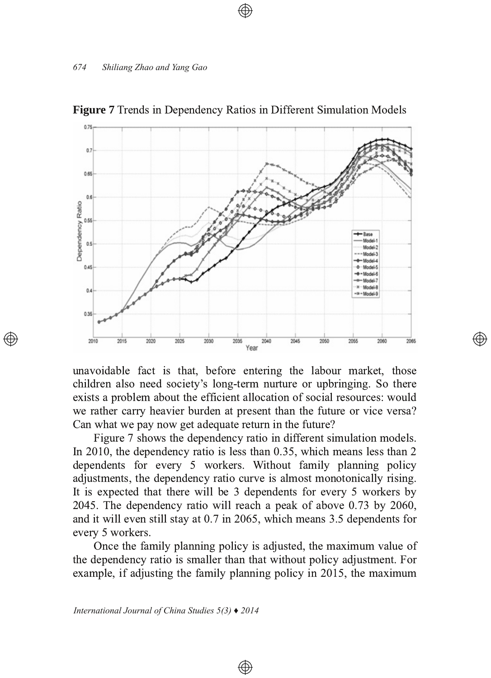

**Figure** 7 Trends in Dependency Ratios in Different Simulation Models

unavoidable fact is that, before entering the labour market, those children also need society's long-term nurture or upbringing. So there exists a problem about the efficient allocation of social resources: would we rather carry heavier burden at present than the future or vice versa? Can what we pay now get adequate return in the future?

Figure 7 shows the dependency ratio in different simulation models. In 2010, the dependency ratio is less than  $0.35$ , which means less than 2 dependents for every 5 workers. Without family planning policy adjustments, the dependency ratio curve is almost monotonically rising. It is expected that there will be 3 dependents for every 5 workers by 2045. The dependency ratio will reach a peak of above  $0.73$  by  $2060$ , and it will even still stay at 0.7 in 2065, which means 3.5 dependents for every 5 workers.

Once the family planning policy is adjusted, the maximum value of the dependency ratio is smaller than that without policy adjustment. For example, if adjusting the family planning policy in 2015, the maximum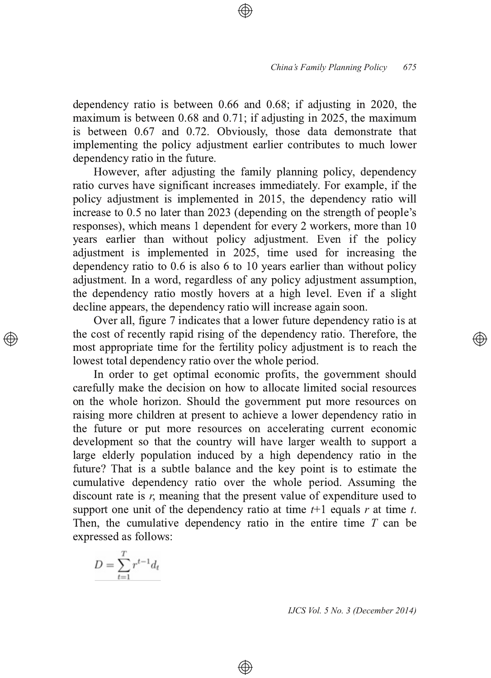dependency ratio is between  $0.66$  and  $0.68$ ; if adjusting in 2020, the maximum is between  $0.68$  and  $0.71$ ; if adjusting in  $2025$ , the maximum is between 0.67 and 0.72. Obviously, those data demonstrate that implementing the policy adjustment earlier contributes to much lower dependency ratio in the future.

However, after adjusting the family planning policy, dependency ratio curves have significant increases immediately. For example, if the policy adjustment is implemented in 2015, the dependency ratio will increase to 0.5 no later than 2023 (depending on the strength of people's responses), which means 1 dependent for every 2 workers, more than 10 years earlier than without policy adjustment. Even if the policy  $14$  adjustment is implemented in 2025, time used for increasing the dependency ratio to  $0.6$  is also  $6$  to  $10$  years earlier than without policy adjustment. In a word, regardless of any policy adjustment assumption, the dependency ratio mostly hovers at a high level. Even if a slight decline appears, the dependency ratio will increase again soon.

Over all, figure 7 indicates that a lower future dependency ratio is at the cost of recently rapid rising of the dependency ratio. Therefore, the most appropriate time for the fertility policy adjustment is to reach the lowest total dependency ratio over the whole period.

In order to get optimal economic profits, the government should carefully make the decision on how to allocate limited social resources on the whole horizon. Should the government put more resources on raising more children at present to achieve a lower dependency ratio in the future or put more resources on accelerating current economic development so that the country will have larger wealth to support a large elderly population induced by a high dependency ratio in the future? That is a subtle balance and the key point is to estimate the cumulative dependency ratio over the whole period. Assuming the discount rate is  $r$ , meaning that the present value of expenditure used to support one unit of the dependency ratio at time  $t+1$  equals  $r$  at time  $t$ . Then, the cumulative dependency ratio in the entire time  $T$  can be expressed as follows:

⊕

$$
D = \sum_{t=1}^{T} r^{t-1} d_t
$$

*IJCS Vol. 5 No. 3 (December 2014)*

্⊕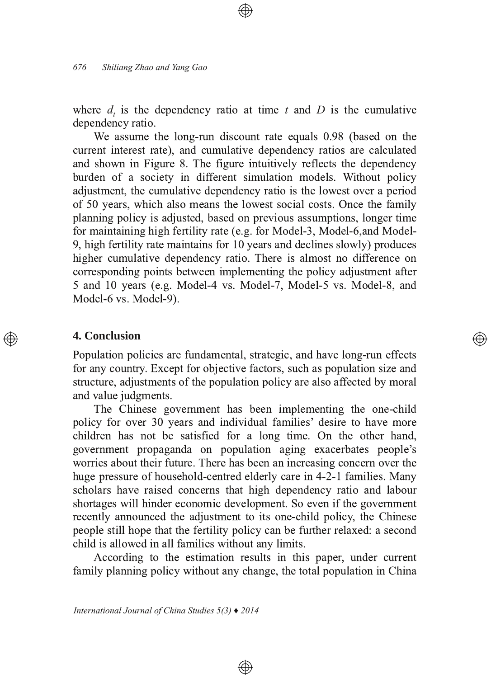where  $d_t$  is the dependency ratio at time t and D is the cumulative dependency ratio.

We assume the long-run discount rate equals 0.98 (based on the current interest rate), and cumulative dependency ratios are calculated and shown in Figure 8. The figure intuitively reflects the dependency burden of a society in different simulation models. Without policy adjustment, the cumulative dependency ratio is the lowest over a period of 50 years, which also means the lowest social costs. Once the family planning policy is adjusted, based on previous assumptions, longer time for maintaining high fertility rate (e.g. for Model-3, Model-6,and Model-9, high fertility rate maintains for 10 years and declines slowly) produces higher cumulative dependency ratio. There is almost no difference on corresponding points between implementing the policy adjustment after 5 and 10 years (e.g. Model-4 vs. Model-7, Model-5 vs. Model-8, and Model-6 vs. Model-9).

#### **4. Conclusion**

Population policies are fundamental, strategic, and have long-run effects for any country. Except for objective factors, such as population size and structure, adjustments of the population policy are also affected by moral and value judgments.

The Chinese government has been implementing the one-child policy for over 30 years and individual families' desire to have more children has not be satisfied for a long time. On the other hand, government propaganda on population aging exacerbates people's worries about their future. There has been an increasing concern over the huge pressure of household-centred elderly care in 4-2-1 families. Many scholars have raised concerns that high dependency ratio and labour shortages will hinder economic development. So even if the government recently announced the adjustment to its one-child policy, the Chinese people still hope that the fertility policy can be further relaxed: a second child is allowed in all families without any limits.

According to the estimation results in this paper, under current family planning policy without any change, the total population in China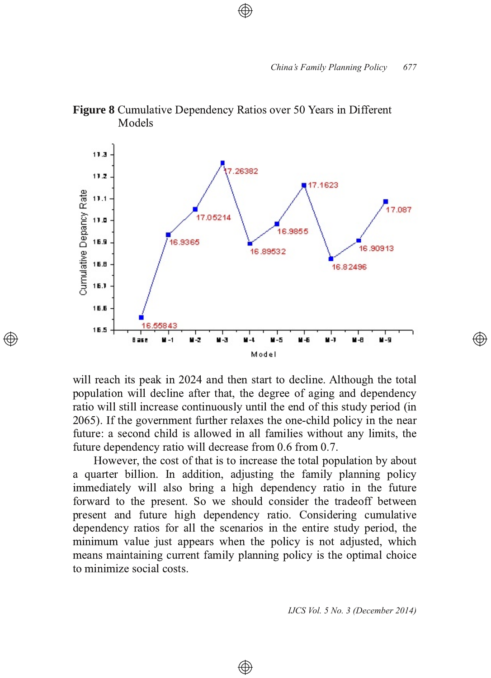

**Figure 8** Cumulative Dependency Ratios over 50 Years in Different Models

will reach its peak in 2024 and then start to decline. Although the total population will decline after that, the degree of aging and dependency ratio will still increase continuously until the end of this study period (in 2065). If the government further relaxes the one-child policy in the near future: a second child is allowed in all families without any limits, the future dependency ratio will decrease from 0.6 from 0.7.

 $\oplus$ 

However, the cost of that is to increase the total population by about a quarter billion. In addition, adjusting the family planning policy immediately will also bring a high dependency ratio in the future forward to the present. So we should consider the tradeoff between present and future high dependency ratio. Considering cumulative dependency ratios for all the scenarios in the entire study period, the minimum value just appears when the policy is not adjusted, which means maintaining current family planning policy is the optimal choice to minimize social costs.

⊕

*IJCS Vol. 5 No. 3 (December 2014)*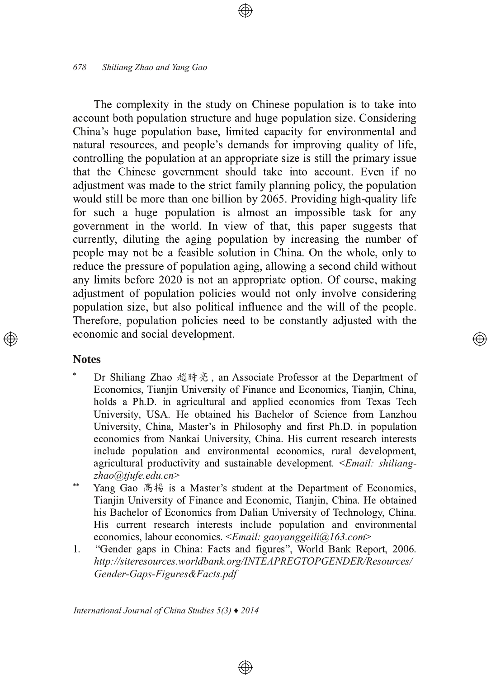#### *678 Shiliang Zhao and Yang Gao*

The complexity in the study on Chinese population is to take into account both population structure and huge population size. Considering China's huge population base, limited capacity for environmental and natural resources, and people's demands for improving quality of life, controlling the population at an appropriate size is still the primary issue that the Chinese government should take into account. Even if no adjustment was made to the strict family planning policy, the population would still be more than one billion by 2065. Providing high-quality life for such a huge population is almost an impossible task for any government in the world. In view of that, this paper suggests that currently, diluting the aging population by increasing the number of people may not be a feasible solution in China. On the whole, only to reduce the pressure of population aging, allowing a second child without any limits before 2020 is not an appropriate option. Of course, making adjustment of population policies would not only involve considering population size, but also political influence and the will of the people. Therefore, population policies need to be constantly adjusted with the economic and social development.

# **Notes**

-Dr Shiliang Zhao 趙時亮, an Associate Professor at the Department of Economics, Tianjin University of Finance and Economics, Tianjin, China, holds a Ph.D. in agricultural and applied economics from Texas Tech University, USA. He obtained his Bachelor of Science from Lanzhou University, China, Master's in Philosophy and first Ph.D. in population economics from Nankai University, China. His current research interests include population and environmental economics, rural development, agricultural productivity and sustainable development. <*Email: shiliangzhao@tjufe.edu.cn*

্⊕

- --Yang Gao 高揚 is a Master's student at the Department of Economics, Tianjin University of Finance and Economic, Tianjin, China. He obtained his Bachelor of Economics from Dalian University of Technology, China. His current research interests include population and environmental economics, labour economics. <*Email: gaoyanggeili@163.com*>
- 1. "Gender gaps in China: Facts and figures", World Bank Report, 2006. *http://siteresources.worldbank.org/INTEAPREGTOPGENDER/Resources/* Gender-Gaps-Figures&Facts.pdf

 $\circledast$ 

*International Journal of China Studies 5(3) ♦ 2014*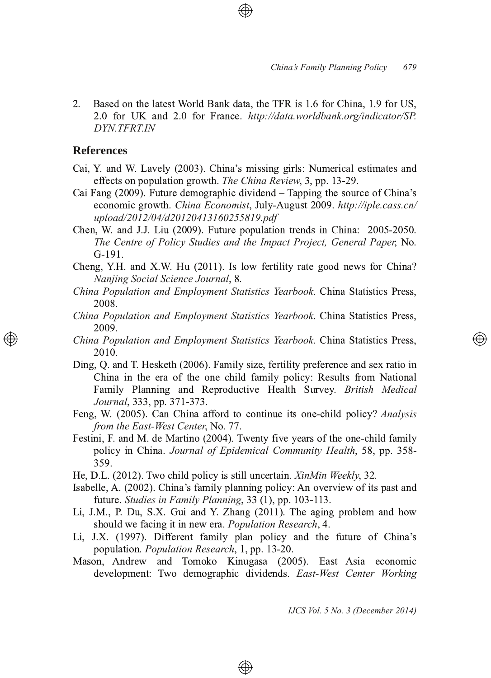2. Based on the latest World Bank data, the TFR is 1.6 for China, 1.9 for US, 2.0 for UK and 2.0 for France. http://data.worldbank.org/indicator/SP. *DYN.TFRT.IN*

### **References**

- Cai, Y. and W. Lavely (2003). China's missing girls: Numerical estimates and effects on population growth. The China Review, 3, pp. 13-29.
- Cai Fang (2009). Future demographic dividend  $-$  Tapping the source of China's economic growth. *China Economist*, July-August 2009. *http://iple.cass.cn/ upload/2012/04/d20120413160255819.pdf*
- Chen, W. and J.J. Liu (2009). Future population trends in China: 2005-2050. *The Centre of Policy Studies and the Impact Project, General Paper, No.*  $G-191.$
- Cheng, Y.H. and X.W. Hu (2011). Is low fertility rate good news for China? *Nanjing Social Science Journal*
- *China Population and Employment Statistics Yearbook. China Statistics Press,* 2008
- *China Population and Employment Statistics Yearbook. China Statistics Press,* 2009.
- *China Population and Employment Statistics Yearbook*. China Statistics Press, 2010.
- Ding, Q. and T. Hesketh (2006). Family size, fertility preference and sex ratio in China in the era of the one child family policy: Results from National Family Planning and Reproductive Health Survey. British Medical Journal, 333, pp. 371-373 .
- Feng, W. (2005). Can China afford to continue its one-child policy? *Analysis from the East-West Center, No. 77.*
- Festini, F. and M. de Martino (2004). Twenty five years of the one-child family policy in China. Journal of Epidemical Community Health, 58, pp. 358-359.
- He, D.L. (2012). Two child policy is still uncertain. *XinMin Weekly*, 32.
- Isabelle, A. (2002). China's family planning policy: An overview of its past and future. Studies in Family Planning, 33 (1), pp. 103-113 .
- Li, J.M., P. Du, S.X. Gui and Y. Zhang  $(2011)$ . The aging problem and how should we facing it in new era. *Population Research*, 4.
- Li, J.X. (1997). Different family plan policy and the future of China's population. *Population Research*, 1, pp. 13-20.
- Mason, Andrew and Tomoko Kinugasa (2005). East Asia economic development: Two demographic dividends. East-West Center Working

⊕

*IJCS Vol. 5 No. 3 (December 2014)*